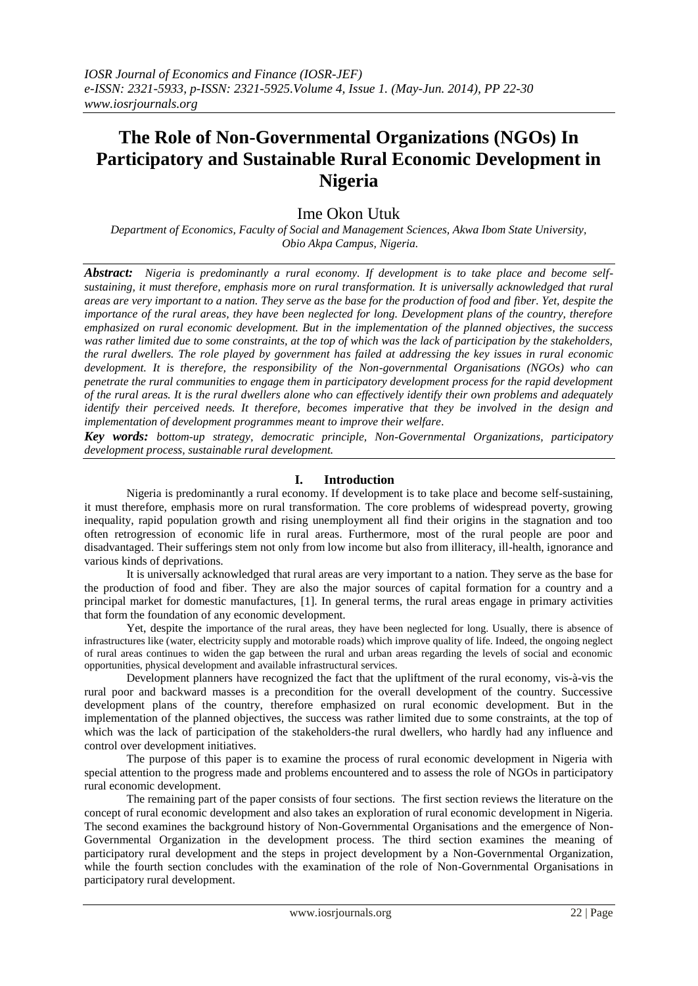# **The Role of Non-Governmental Organizations (NGOs) In Participatory and Sustainable Rural Economic Development in Nigeria**

# Ime Okon Utuk

*Department of Economics, Faculty of Social and Management Sciences, Akwa Ibom State University, Obio Akpa Campus, Nigeria.* 

*Abstract: Nigeria is predominantly a rural economy. If development is to take place and become selfsustaining, it must therefore, emphasis more on rural transformation. It is universally acknowledged that rural areas are very important to a nation. They serve as the base for the production of food and fiber. Yet, despite the importance of the rural areas, they have been neglected for long. Development plans of the country, therefore emphasized on rural economic development. But in the implementation of the planned objectives, the success*  was rather limited due to some constraints, at the top of which was the lack of participation by the stakeholders, *the rural dwellers. The role played by government has failed at addressing the key issues in rural economic development. It is therefore, the responsibility of the Non-governmental Organisations (NGOs) who can penetrate the rural communities to engage them in participatory development process for the rapid development of the rural areas. It is the rural dwellers alone who can effectively identify their own problems and adequately identify their perceived needs. It therefore, becomes imperative that they be involved in the design and implementation of development programmes meant to improve their welfare.* 

*Key words: bottom-up strategy, democratic principle, Non-Governmental Organizations, participatory development process, sustainable rural development.* 

#### **I. Introduction**

Nigeria is predominantly a rural economy. If development is to take place and become self-sustaining, it must therefore, emphasis more on rural transformation. The core problems of widespread poverty, growing inequality, rapid population growth and rising unemployment all find their origins in the stagnation and too often retrogression of economic life in rural areas. Furthermore, most of the rural people are poor and disadvantaged. Their sufferings stem not only from low income but also from illiteracy, ill-health, ignorance and various kinds of deprivations.

It is universally acknowledged that rural areas are very important to a nation. They serve as the base for the production of food and fiber. They are also the major sources of capital formation for a country and a principal market for domestic manufactures, [1]. In general terms, the rural areas engage in primary activities that form the foundation of any economic development.

Yet, despite the importance of the rural areas, they have been neglected for long. Usually, there is absence of infrastructures like (water, electricity supply and motorable roads) which improve quality of life. Indeed, the ongoing neglect of rural areas continues to widen the gap between the rural and urban areas regarding the levels of social and economic opportunities, physical development and available infrastructural services.

Development planners have recognized the fact that the upliftment of the rural economy, vis-à-vis the rural poor and backward masses is a precondition for the overall development of the country. Successive development plans of the country, therefore emphasized on rural economic development. But in the implementation of the planned objectives, the success was rather limited due to some constraints, at the top of which was the lack of participation of the stakeholders-the rural dwellers, who hardly had any influence and control over development initiatives.

The purpose of this paper is to examine the process of rural economic development in Nigeria with special attention to the progress made and problems encountered and to assess the role of NGOs in participatory rural economic development.

The remaining part of the paper consists of four sections. The first section reviews the literature on the concept of rural economic development and also takes an exploration of rural economic development in Nigeria. The second examines the background history of Non-Governmental Organisations and the emergence of Non-Governmental Organization in the development process. The third section examines the meaning of participatory rural development and the steps in project development by a Non-Governmental Organization, while the fourth section concludes with the examination of the role of Non-Governmental Organisations in participatory rural development.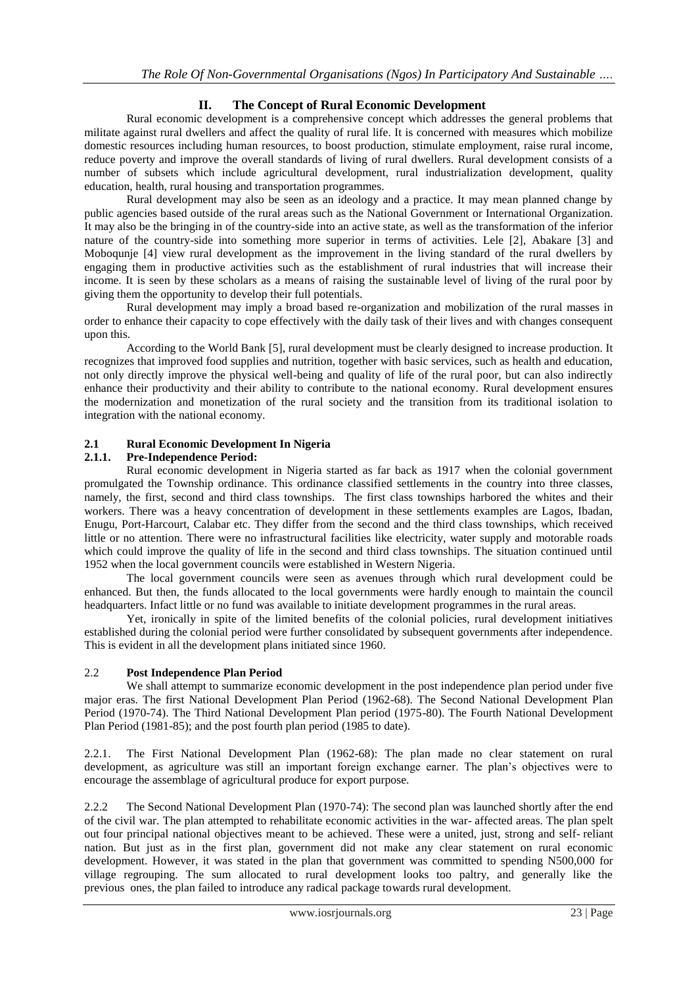# **II. The Concept of Rural Economic Development**

Rural economic development is a comprehensive concept which addresses the general problems that militate against rural dwellers and affect the quality of rural life. It is concerned with measures which mobilize domestic resources including human resources, to boost production, stimulate employment, raise rural income, reduce poverty and improve the overall standards of living of rural dwellers. Rural development consists of a number of subsets which include agricultural development, rural industrialization development, quality education, health, rural housing and transportation programmes.

Rural development may also be seen as an ideology and a practice. It may mean planned change by public agencies based outside of the rural areas such as the National Government or International Organization. It may also be the bringing in of the country-side into an active state, as well as the transformation of the inferior nature of the country-side into something more superior in terms of activities. Lele [2], Abakare [3] and Moboqunje [4] view rural development as the improvement in the living standard of the rural dwellers by engaging them in productive activities such as the establishment of rural industries that will increase their income. It is seen by these scholars as a means of raising the sustainable level of living of the rural poor by giving them the opportunity to develop their full potentials.

Rural development may imply a broad based re-organization and mobilization of the rural masses in order to enhance their capacity to cope effectively with the daily task of their lives and with changes consequent upon this.

According to the World Bank [5], rural development must be clearly designed to increase production. It recognizes that improved food supplies and nutrition, together with basic services, such as health and education, not only directly improve the physical well-being and quality of life of the rural poor, but can also indirectly enhance their productivity and their ability to contribute to the national economy. Rural development ensures the modernization and monetization of the rural society and the transition from its traditional isolation to integration with the national economy.

#### **2.1 Rural Economic Development In Nigeria**

#### **2.1.1. Pre-Independence Period:**

Rural economic development in Nigeria started as far back as 1917 when the colonial government promulgated the Township ordinance. This ordinance classified settlements in the country into three classes, namely, the first, second and third class townships. The first class townships harbored the whites and their workers. There was a heavy concentration of development in these settlements examples are Lagos, Ibadan, Enugu, Port-Harcourt, Calabar etc. They differ from the second and the third class townships, which received little or no attention. There were no infrastructural facilities like electricity, water supply and motorable roads which could improve the quality of life in the second and third class townships. The situation continued until 1952 when the local government councils were established in Western Nigeria.

The local government councils were seen as avenues through which rural development could be enhanced. But then, the funds allocated to the local governments were hardly enough to maintain the council headquarters. Infact little or no fund was available to initiate development programmes in the rural areas.

Yet, ironically in spite of the limited benefits of the colonial policies, rural development initiatives established during the colonial period were further consolidated by subsequent governments after independence. This is evident in all the development plans initiated since 1960.

#### 2.2 **Post Independence Plan Period**

We shall attempt to summarize economic development in the post independence plan period under five major eras. The first National Development Plan Period (1962-68). The Second National Development Plan Period (1970-74). The Third National Development Plan period (1975-80). The Fourth National Development Plan Period (1981-85); and the post fourth plan period (1985 to date).

2.2.1. The First National Development Plan (1962-68): The plan made no clear statement on rural development, as agriculture was still an important foreign exchange earner. The plan's objectives were to encourage the assemblage of agricultural produce for export purpose.

2.2.2 The Second National Development Plan (1970-74): The second plan was launched shortly after the end of the civil war. The plan attempted to rehabilitate economic activities in the war- affected areas. The plan spelt out four principal national objectives meant to be achieved. These were a united, just, strong and self- reliant nation. But just as in the first plan, government did not make any clear statement on rural economic development. However, it was stated in the plan that government was committed to spending N500,000 for village regrouping. The sum allocated to rural development looks too paltry, and generally like the previous ones, the plan failed to introduce any radical package towards rural development.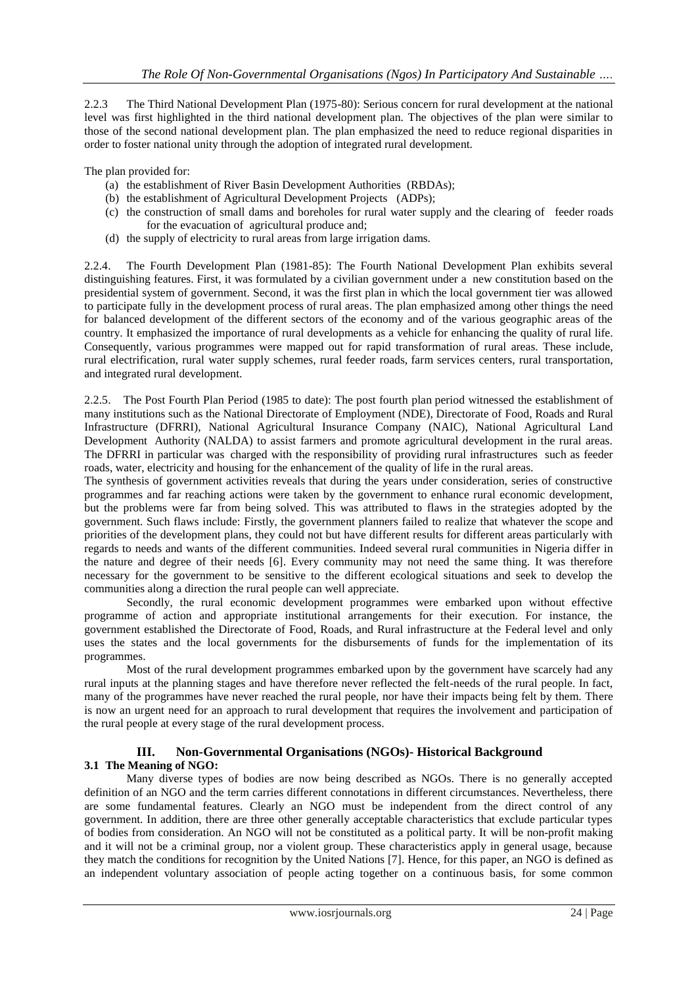2.2.3 The Third National Development Plan (1975-80): Serious concern for rural development at the national level was first highlighted in the third national development plan. The objectives of the plan were similar to those of the second national development plan. The plan emphasized the need to reduce regional disparities in order to foster national unity through the adoption of integrated rural development.

The plan provided for:

- (a) the establishment of River Basin Development Authorities (RBDAs);
- (b) the establishment of Agricultural Development Projects (ADPs);
- (c) the construction of small dams and boreholes for rural water supply and the clearing of feeder roads for the evacuation of agricultural produce and;
- (d) the supply of electricity to rural areas from large irrigation dams.

2.2.4. The Fourth Development Plan (1981-85): The Fourth National Development Plan exhibits several distinguishing features. First, it was formulated by a civilian government under a new constitution based on the presidential system of government. Second, it was the first plan in which the local government tier was allowed to participate fully in the development process of rural areas. The plan emphasized among other things the need for balanced development of the different sectors of the economy and of the various geographic areas of the country. It emphasized the importance of rural developments as a vehicle for enhancing the quality of rural life. Consequently, various programmes were mapped out for rapid transformation of rural areas. These include, rural electrification, rural water supply schemes, rural feeder roads, farm services centers, rural transportation, and integrated rural development.

2.2.5. The Post Fourth Plan Period (1985 to date): The post fourth plan period witnessed the establishment of many institutions such as the National Directorate of Employment (NDE), Directorate of Food, Roads and Rural Infrastructure (DFRRI), National Agricultural Insurance Company (NAIC), National Agricultural Land Development Authority (NALDA) to assist farmers and promote agricultural development in the rural areas. The DFRRI in particular was charged with the responsibility of providing rural infrastructures such as feeder roads, water, electricity and housing for the enhancement of the quality of life in the rural areas.

The synthesis of government activities reveals that during the years under consideration, series of constructive programmes and far reaching actions were taken by the government to enhance rural economic development, but the problems were far from being solved. This was attributed to flaws in the strategies adopted by the government. Such flaws include: Firstly, the government planners failed to realize that whatever the scope and priorities of the development plans, they could not but have different results for different areas particularly with regards to needs and wants of the different communities. Indeed several rural communities in Nigeria differ in the nature and degree of their needs [6]. Every community may not need the same thing. It was therefore necessary for the government to be sensitive to the different ecological situations and seek to develop the communities along a direction the rural people can well appreciate.

Secondly, the rural economic development programmes were embarked upon without effective programme of action and appropriate institutional arrangements for their execution. For instance, the government established the Directorate of Food, Roads, and Rural infrastructure at the Federal level and only uses the states and the local governments for the disbursements of funds for the implementation of its programmes.

Most of the rural development programmes embarked upon by the government have scarcely had any rural inputs at the planning stages and have therefore never reflected the felt-needs of the rural people. In fact, many of the programmes have never reached the rural people, nor have their impacts being felt by them. There is now an urgent need for an approach to rural development that requires the involvement and participation of the rural people at every stage of the rural development process.

## **III. Non-Governmental Organisations (NGOs)- Historical Background 3.1 The Meaning of NGO:**

Many diverse types of bodies are now being described as NGOs. There is no generally accepted definition of an NGO and the term carries different connotations in different circumstances. Nevertheless, there are some fundamental features. Clearly an NGO must be independent from the direct control of any government. In addition, there are three other generally acceptable characteristics that exclude particular types of bodies from consideration. An NGO will not be constituted as a political party. It will be non-profit making and it will not be a criminal group, nor a violent group. These characteristics apply in general usage, because they match the conditions for recognition by the United Nations [7]. Hence, for this paper, an NGO is defined as an independent voluntary association of people acting together on a continuous basis, for some common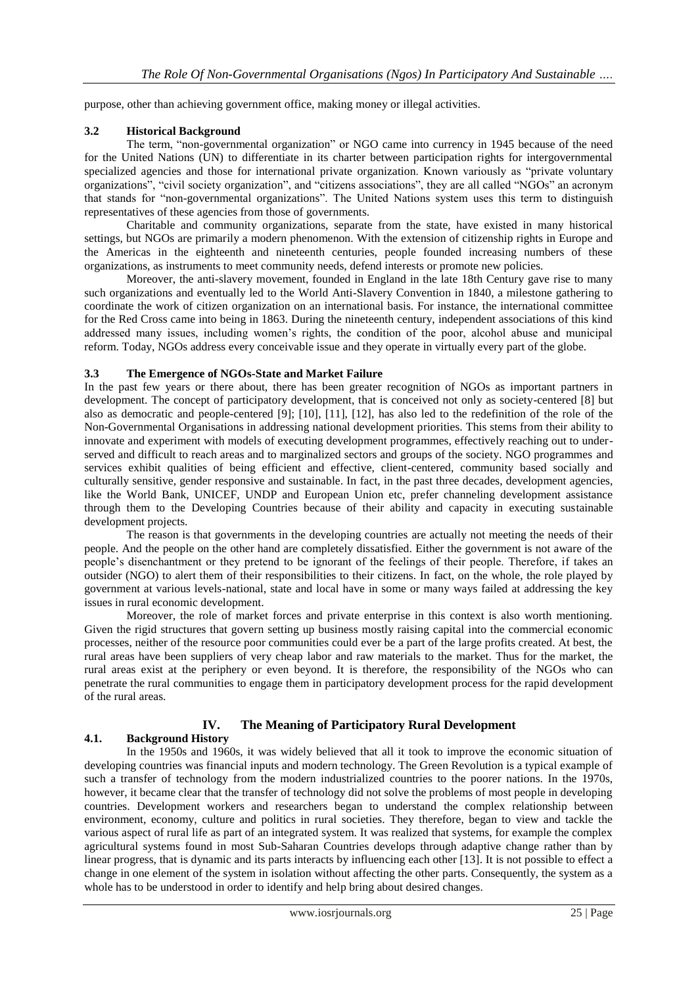purpose, other than achieving government office, making money or illegal activities.

#### **3.2 Historical Background**

The term, "non-governmental organization" or NGO came into currency in 1945 because of the need for the United Nations (UN) to differentiate in its charter between participation rights for intergovernmental specialized agencies and those for international private organization. Known variously as "private voluntary organizations", "civil society organization", and "citizens associations", they are all called "NGOs" an acronym that stands for "non-governmental organizations". The United Nations system uses this term to distinguish representatives of these agencies from those of governments.

Charitable and community organizations, separate from the state, have existed in many historical settings, but NGOs are primarily a modern phenomenon. With the extension of citizenship rights in Europe and the Americas in the eighteenth and nineteenth centuries, people founded increasing numbers of these organizations, as instruments to meet community needs, defend interests or promote new policies.

Moreover, the anti-slavery movement, founded in England in the late 18th Century gave rise to many such organizations and eventually led to the World Anti-Slavery Convention in 1840, a milestone gathering to coordinate the work of citizen organization on an international basis. For instance, the international committee for the Red Cross came into being in 1863. During the nineteenth century, independent associations of this kind addressed many issues, including women's rights, the condition of the poor, alcohol abuse and municipal reform. Today, NGOs address every conceivable issue and they operate in virtually every part of the globe.

#### **3.3 The Emergence of NGOs-State and Market Failure**

In the past few years or there about, there has been greater recognition of NGOs as important partners in development. The concept of participatory development, that is conceived not only as society-centered [8] but also as democratic and people-centered [9]; [10], [11], [12], has also led to the redefinition of the role of the Non-Governmental Organisations in addressing national development priorities. This stems from their ability to innovate and experiment with models of executing development programmes, effectively reaching out to underserved and difficult to reach areas and to marginalized sectors and groups of the society. NGO programmes and services exhibit qualities of being efficient and effective, client-centered, community based socially and culturally sensitive, gender responsive and sustainable. In fact, in the past three decades, development agencies, like the World Bank, UNICEF, UNDP and European Union etc, prefer channeling development assistance through them to the Developing Countries because of their ability and capacity in executing sustainable development projects.

The reason is that governments in the developing countries are actually not meeting the needs of their people. And the people on the other hand are completely dissatisfied. Either the government is not aware of the people's disenchantment or they pretend to be ignorant of the feelings of their people. Therefore, if takes an outsider (NGO) to alert them of their responsibilities to their citizens. In fact, on the whole, the role played by government at various levels-national, state and local have in some or many ways failed at addressing the key issues in rural economic development.

Moreover, the role of market forces and private enterprise in this context is also worth mentioning. Given the rigid structures that govern setting up business mostly raising capital into the commercial economic processes, neither of the resource poor communities could ever be a part of the large profits created. At best, the rural areas have been suppliers of very cheap labor and raw materials to the market. Thus for the market, the rural areas exist at the periphery or even beyond. It is therefore, the responsibility of the NGOs who can penetrate the rural communities to engage them in participatory development process for the rapid development of the rural areas.

# **IV. The Meaning of Participatory Rural Development**

## **4.1. Background History**

In the 1950s and 1960s, it was widely believed that all it took to improve the economic situation of developing countries was financial inputs and modern technology. The Green Revolution is a typical example of such a transfer of technology from the modern industrialized countries to the poorer nations. In the 1970s, however, it became clear that the transfer of technology did not solve the problems of most people in developing countries. Development workers and researchers began to understand the complex relationship between environment, economy, culture and politics in rural societies. They therefore, began to view and tackle the various aspect of rural life as part of an integrated system. It was realized that systems, for example the complex agricultural systems found in most Sub-Saharan Countries develops through adaptive change rather than by linear progress, that is dynamic and its parts interacts by influencing each other [13]. It is not possible to effect a change in one element of the system in isolation without affecting the other parts. Consequently, the system as a whole has to be understood in order to identify and help bring about desired changes.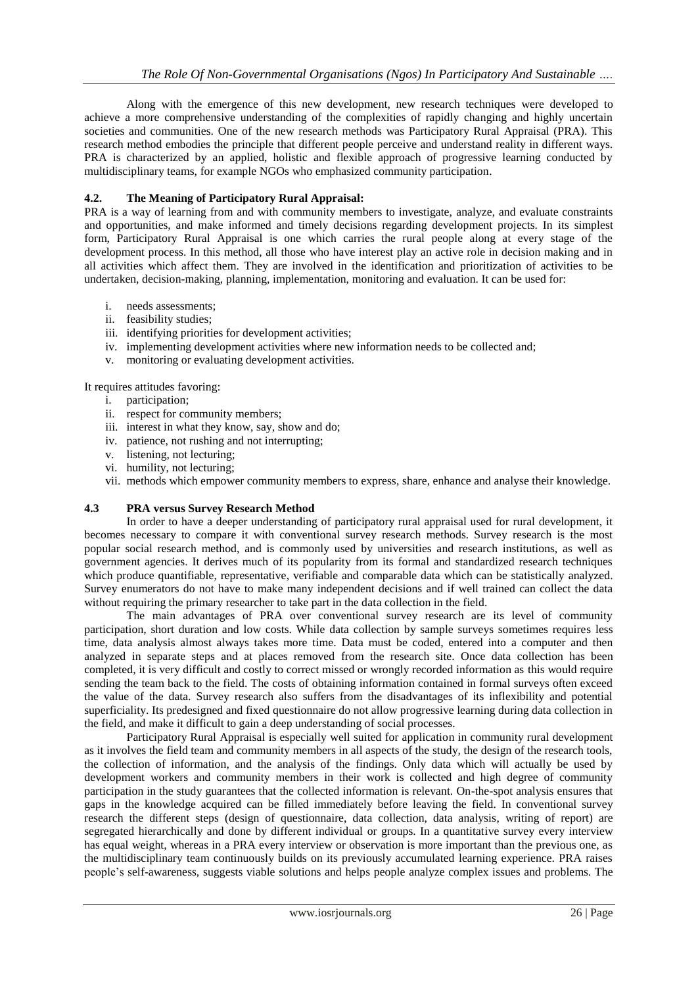Along with the emergence of this new development, new research techniques were developed to achieve a more comprehensive understanding of the complexities of rapidly changing and highly uncertain societies and communities. One of the new research methods was Participatory Rural Appraisal (PRA). This research method embodies the principle that different people perceive and understand reality in different ways. PRA is characterized by an applied, holistic and flexible approach of progressive learning conducted by multidisciplinary teams, for example NGOs who emphasized community participation.

#### **4.2. The Meaning of Participatory Rural Appraisal:**

PRA is a way of learning from and with community members to investigate, analyze, and evaluate constraints and opportunities, and make informed and timely decisions regarding development projects. In its simplest form, Participatory Rural Appraisal is one which carries the rural people along at every stage of the development process. In this method, all those who have interest play an active role in decision making and in all activities which affect them. They are involved in the identification and prioritization of activities to be undertaken, decision-making, planning, implementation, monitoring and evaluation. It can be used for:

- i. needs assessments;
- ii. feasibility studies;
- iii. identifying priorities for development activities;
- iv. implementing development activities where new information needs to be collected and;
- v. monitoring or evaluating development activities.

It requires attitudes favoring:

- i. participation;
- ii. respect for community members;
- iii. interest in what they know, say, show and do;
- iv. patience, not rushing and not interrupting;
- v. listening, not lecturing;
- vi. humility, not lecturing;
- vii. methods which empower community members to express, share, enhance and analyse their knowledge.

#### **4.3 PRA versus Survey Research Method**

In order to have a deeper understanding of participatory rural appraisal used for rural development, it becomes necessary to compare it with conventional survey research methods. Survey research is the most popular social research method, and is commonly used by universities and research institutions, as well as government agencies. It derives much of its popularity from its formal and standardized research techniques which produce quantifiable, representative, verifiable and comparable data which can be statistically analyzed. Survey enumerators do not have to make many independent decisions and if well trained can collect the data without requiring the primary researcher to take part in the data collection in the field.

The main advantages of PRA over conventional survey research are its level of community participation, short duration and low costs. While data collection by sample surveys sometimes requires less time, data analysis almost always takes more time. Data must be coded, entered into a computer and then analyzed in separate steps and at places removed from the research site. Once data collection has been completed, it is very difficult and costly to correct missed or wrongly recorded information as this would require sending the team back to the field. The costs of obtaining information contained in formal surveys often exceed the value of the data. Survey research also suffers from the disadvantages of its inflexibility and potential superficiality. Its predesigned and fixed questionnaire do not allow progressive learning during data collection in the field, and make it difficult to gain a deep understanding of social processes.

Participatory Rural Appraisal is especially well suited for application in community rural development as it involves the field team and community members in all aspects of the study, the design of the research tools, the collection of information, and the analysis of the findings. Only data which will actually be used by development workers and community members in their work is collected and high degree of community participation in the study guarantees that the collected information is relevant. On-the-spot analysis ensures that gaps in the knowledge acquired can be filled immediately before leaving the field. In conventional survey research the different steps (design of questionnaire, data collection, data analysis, writing of report) are segregated hierarchically and done by different individual or groups. In a quantitative survey every interview has equal weight, whereas in a PRA every interview or observation is more important than the previous one, as the multidisciplinary team continuously builds on its previously accumulated learning experience. PRA raises people's self-awareness, suggests viable solutions and helps people analyze complex issues and problems. The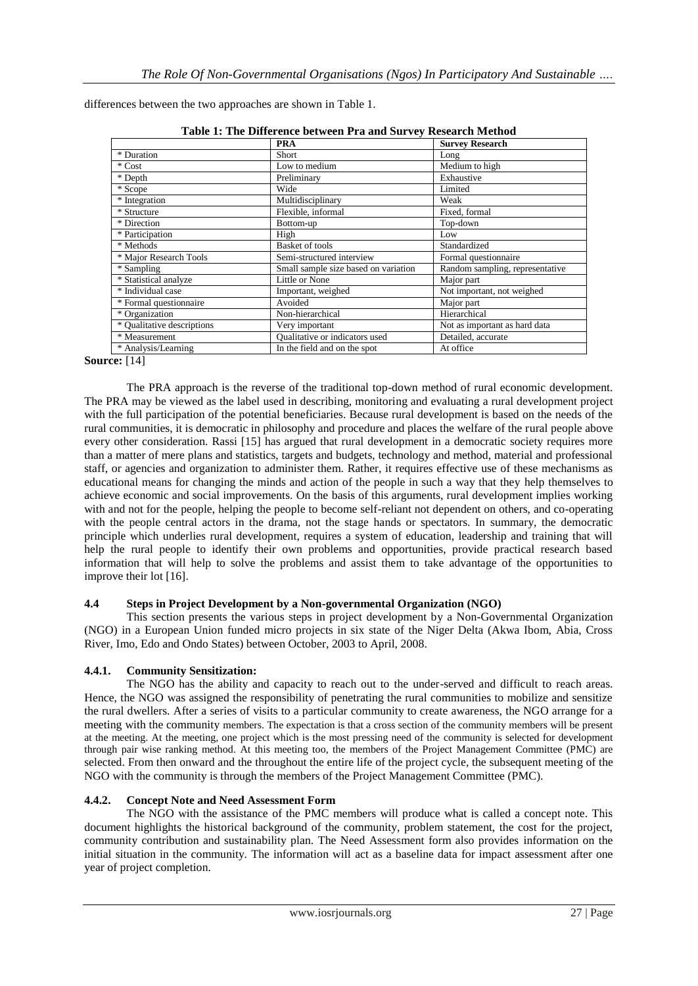Very important Not as important as hard data

| Table 1: The Difference between Pra and Survey Research Method |                                      |                                 |
|----------------------------------------------------------------|--------------------------------------|---------------------------------|
|                                                                | <b>PRA</b>                           | <b>Survey Research</b>          |
| * Duration                                                     | Short                                | Long                            |
| * Cost                                                         | Low to medium                        | Medium to high                  |
| * Depth                                                        | Preliminary                          | Exhaustive                      |
| * Scope                                                        | Wide                                 | Limited                         |
| * Integration                                                  | Multidisciplinary                    | Weak                            |
| * Structure                                                    | Flexible, informal                   | Fixed, formal                   |
| * Direction                                                    | Bottom-up                            | Top-down                        |
| * Participation                                                | High                                 | Low                             |
| * Methods                                                      | <b>Basket of tools</b>               | Standardized                    |
| * Major Research Tools                                         | Semi-structured interview            | Formal questionnaire            |
| * Sampling                                                     | Small sample size based on variation | Random sampling, representative |
| * Statistical analyze                                          | Little or None                       | Major part                      |
| * Individual case                                              | Important, weighed                   | Not important, not weighed      |

\* Formal questionnaire Avoided Major part \* Organization Non-hierarchical Hierarchical Hierarchical Hierarchical Hierarchical Hierarchical Hierarchical Hierarchical Hierarchical Hierarchical Hierarchical Hierarchical Hierarchical Hierarchical Hierarchical Hierarch

\* Measurement Qualitative or indicators used Detailed, accurate \* Analysis/Learning In the field and on the spot At office

differences between the two approaches are shown in Table 1.

**Source:** [14]

The PRA approach is the reverse of the traditional top-down method of rural economic development. The PRA may be viewed as the label used in describing, monitoring and evaluating a rural development project with the full participation of the potential beneficiaries. Because rural development is based on the needs of the rural communities, it is democratic in philosophy and procedure and places the welfare of the rural people above every other consideration. Rassi [15] has argued that rural development in a democratic society requires more than a matter of mere plans and statistics, targets and budgets, technology and method, material and professional staff, or agencies and organization to administer them. Rather, it requires effective use of these mechanisms as educational means for changing the minds and action of the people in such a way that they help themselves to achieve economic and social improvements. On the basis of this arguments, rural development implies working with and not for the people, helping the people to become self-reliant not dependent on others, and co-operating with the people central actors in the drama, not the stage hands or spectators. In summary, the democratic principle which underlies rural development, requires a system of education, leadership and training that will help the rural people to identify their own problems and opportunities, provide practical research based information that will help to solve the problems and assist them to take advantage of the opportunities to improve their lot [16].

#### **4.4 Steps in Project Development by a Non-governmental Organization (NGO)**

This section presents the various steps in project development by a Non-Governmental Organization (NGO) in a European Union funded micro projects in six state of the Niger Delta (Akwa Ibom, Abia, Cross River, Imo, Edo and Ondo States) between October, 2003 to April, 2008.

#### **4.4.1. Community Sensitization:**

The NGO has the ability and capacity to reach out to the under-served and difficult to reach areas. Hence, the NGO was assigned the responsibility of penetrating the rural communities to mobilize and sensitize the rural dwellers. After a series of visits to a particular community to create awareness, the NGO arrange for a meeting with the community members. The expectation is that a cross section of the community members will be present at the meeting. At the meeting, one project which is the most pressing need of the community is selected for development through pair wise ranking method. At this meeting too, the members of the Project Management Committee (PMC) are selected. From then onward and the throughout the entire life of the project cycle, the subsequent meeting of the NGO with the community is through the members of the Project Management Committee (PMC).

#### **4.4.2. Concept Note and Need Assessment Form**

The NGO with the assistance of the PMC members will produce what is called a concept note. This document highlights the historical background of the community, problem statement, the cost for the project, community contribution and sustainability plan. The Need Assessment form also provides information on the initial situation in the community. The information will act as a baseline data for impact assessment after one year of project completion.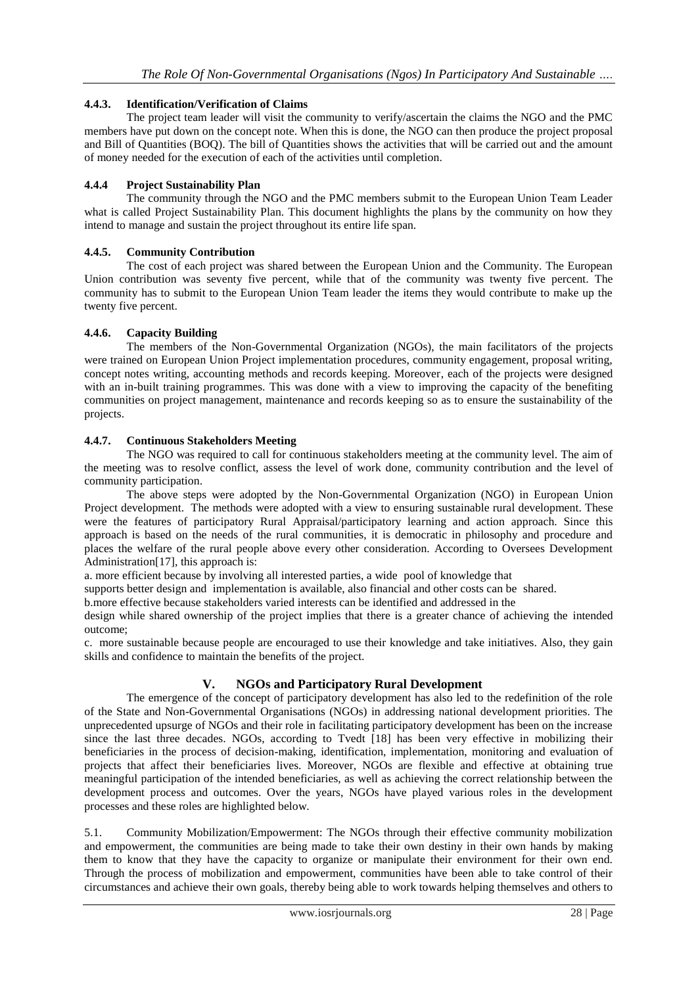#### **4.4.3. Identification/Verification of Claims**

The project team leader will visit the community to verify/ascertain the claims the NGO and the PMC members have put down on the concept note. When this is done, the NGO can then produce the project proposal and Bill of Quantities (BOQ). The bill of Quantities shows the activities that will be carried out and the amount of money needed for the execution of each of the activities until completion.

### **4.4.4 Project Sustainability Plan**

The community through the NGO and the PMC members submit to the European Union Team Leader what is called Project Sustainability Plan. This document highlights the plans by the community on how they intend to manage and sustain the project throughout its entire life span.

#### **4.4.5. Community Contribution**

The cost of each project was shared between the European Union and the Community. The European Union contribution was seventy five percent, while that of the community was twenty five percent. The community has to submit to the European Union Team leader the items they would contribute to make up the twenty five percent.

## **4.4.6. Capacity Building**

The members of the Non-Governmental Organization (NGOs), the main facilitators of the projects were trained on European Union Project implementation procedures, community engagement, proposal writing, concept notes writing, accounting methods and records keeping. Moreover, each of the projects were designed with an in-built training programmes. This was done with a view to improving the capacity of the benefiting communities on project management, maintenance and records keeping so as to ensure the sustainability of the projects.

## **4.4.7. Continuous Stakeholders Meeting**

The NGO was required to call for continuous stakeholders meeting at the community level. The aim of the meeting was to resolve conflict, assess the level of work done, community contribution and the level of community participation.

The above steps were adopted by the Non-Governmental Organization (NGO) in European Union Project development. The methods were adopted with a view to ensuring sustainable rural development. These were the features of participatory Rural Appraisal/participatory learning and action approach. Since this approach is based on the needs of the rural communities, it is democratic in philosophy and procedure and places the welfare of the rural people above every other consideration. According to Oversees Development Administration<sup>[17]</sup>, this approach is:

a. more efficient because by involving all interested parties, a wide pool of knowledge that

supports better design and implementation is available, also financial and other costs can be shared.

b.more effective because stakeholders varied interests can be identified and addressed in the

design while shared ownership of the project implies that there is a greater chance of achieving the intended outcome;

c. more sustainable because people are encouraged to use their knowledge and take initiatives. Also, they gain skills and confidence to maintain the benefits of the project.

## **V. NGOs and Participatory Rural Development**

The emergence of the concept of participatory development has also led to the redefinition of the role of the State and Non-Governmental Organisations (NGOs) in addressing national development priorities. The unprecedented upsurge of NGOs and their role in facilitating participatory development has been on the increase since the last three decades. NGOs, according to Tvedt [18] has been very effective in mobilizing their beneficiaries in the process of decision-making, identification, implementation, monitoring and evaluation of projects that affect their beneficiaries lives. Moreover, NGOs are flexible and effective at obtaining true meaningful participation of the intended beneficiaries, as well as achieving the correct relationship between the development process and outcomes. Over the years, NGOs have played various roles in the development processes and these roles are highlighted below.

5.1. Community Mobilization/Empowerment: The NGOs through their effective community mobilization and empowerment, the communities are being made to take their own destiny in their own hands by making them to know that they have the capacity to organize or manipulate their environment for their own end. Through the process of mobilization and empowerment, communities have been able to take control of their circumstances and achieve their own goals, thereby being able to work towards helping themselves and others to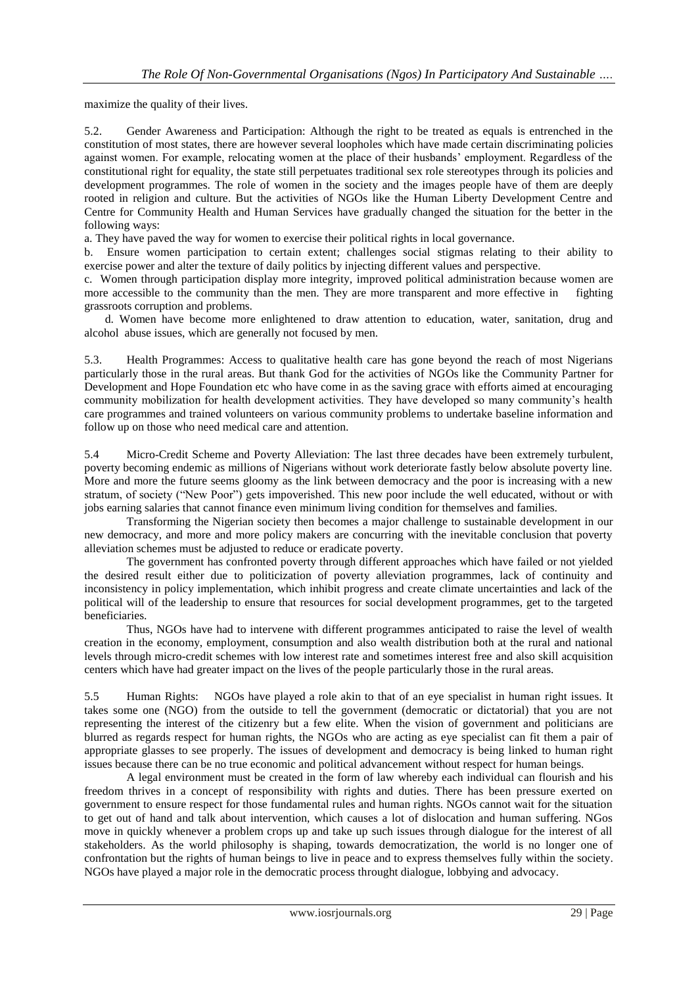maximize the quality of their lives.

5.2. Gender Awareness and Participation: Although the right to be treated as equals is entrenched in the constitution of most states, there are however several loopholes which have made certain discriminating policies against women. For example, relocating women at the place of their husbands' employment. Regardless of the constitutional right for equality, the state still perpetuates traditional sex role stereotypes through its policies and development programmes. The role of women in the society and the images people have of them are deeply rooted in religion and culture. But the activities of NGOs like the Human Liberty Development Centre and Centre for Community Health and Human Services have gradually changed the situation for the better in the following ways:

a. They have paved the way for women to exercise their political rights in local governance.

b. Ensure women participation to certain extent; challenges social stigmas relating to their ability to exercise power and alter the texture of daily politics by injecting different values and perspective.

c. Women through participation display more integrity, improved political administration because women are more accessible to the community than the men. They are more transparent and more effective in fighting grassroots corruption and problems.

 d. Women have become more enlightened to draw attention to education, water, sanitation, drug and alcohol abuse issues, which are generally not focused by men.

5.3. Health Programmes: Access to qualitative health care has gone beyond the reach of most Nigerians particularly those in the rural areas. But thank God for the activities of NGOs like the Community Partner for Development and Hope Foundation etc who have come in as the saving grace with efforts aimed at encouraging community mobilization for health development activities. They have developed so many community's health care programmes and trained volunteers on various community problems to undertake baseline information and follow up on those who need medical care and attention.

5.4 Micro-Credit Scheme and Poverty Alleviation: The last three decades have been extremely turbulent, poverty becoming endemic as millions of Nigerians without work deteriorate fastly below absolute poverty line. More and more the future seems gloomy as the link between democracy and the poor is increasing with a new stratum, of society ("New Poor") gets impoverished. This new poor include the well educated, without or with jobs earning salaries that cannot finance even minimum living condition for themselves and families.

Transforming the Nigerian society then becomes a major challenge to sustainable development in our new democracy, and more and more policy makers are concurring with the inevitable conclusion that poverty alleviation schemes must be adjusted to reduce or eradicate poverty.

The government has confronted poverty through different approaches which have failed or not yielded the desired result either due to politicization of poverty alleviation programmes, lack of continuity and inconsistency in policy implementation, which inhibit progress and create climate uncertainties and lack of the political will of the leadership to ensure that resources for social development programmes, get to the targeted beneficiaries.

Thus, NGOs have had to intervene with different programmes anticipated to raise the level of wealth creation in the economy, employment, consumption and also wealth distribution both at the rural and national levels through micro-credit schemes with low interest rate and sometimes interest free and also skill acquisition centers which have had greater impact on the lives of the people particularly those in the rural areas.

5.5 Human Rights: NGOs have played a role akin to that of an eye specialist in human right issues. It takes some one (NGO) from the outside to tell the government (democratic or dictatorial) that you are not representing the interest of the citizenry but a few elite. When the vision of government and politicians are blurred as regards respect for human rights, the NGOs who are acting as eye specialist can fit them a pair of appropriate glasses to see properly. The issues of development and democracy is being linked to human right issues because there can be no true economic and political advancement without respect for human beings.

A legal environment must be created in the form of law whereby each individual can flourish and his freedom thrives in a concept of responsibility with rights and duties. There has been pressure exerted on government to ensure respect for those fundamental rules and human rights. NGOs cannot wait for the situation to get out of hand and talk about intervention, which causes a lot of dislocation and human suffering. NGos move in quickly whenever a problem crops up and take up such issues through dialogue for the interest of all stakeholders. As the world philosophy is shaping, towards democratization, the world is no longer one of confrontation but the rights of human beings to live in peace and to express themselves fully within the society. NGOs have played a major role in the democratic process throught dialogue, lobbying and advocacy.